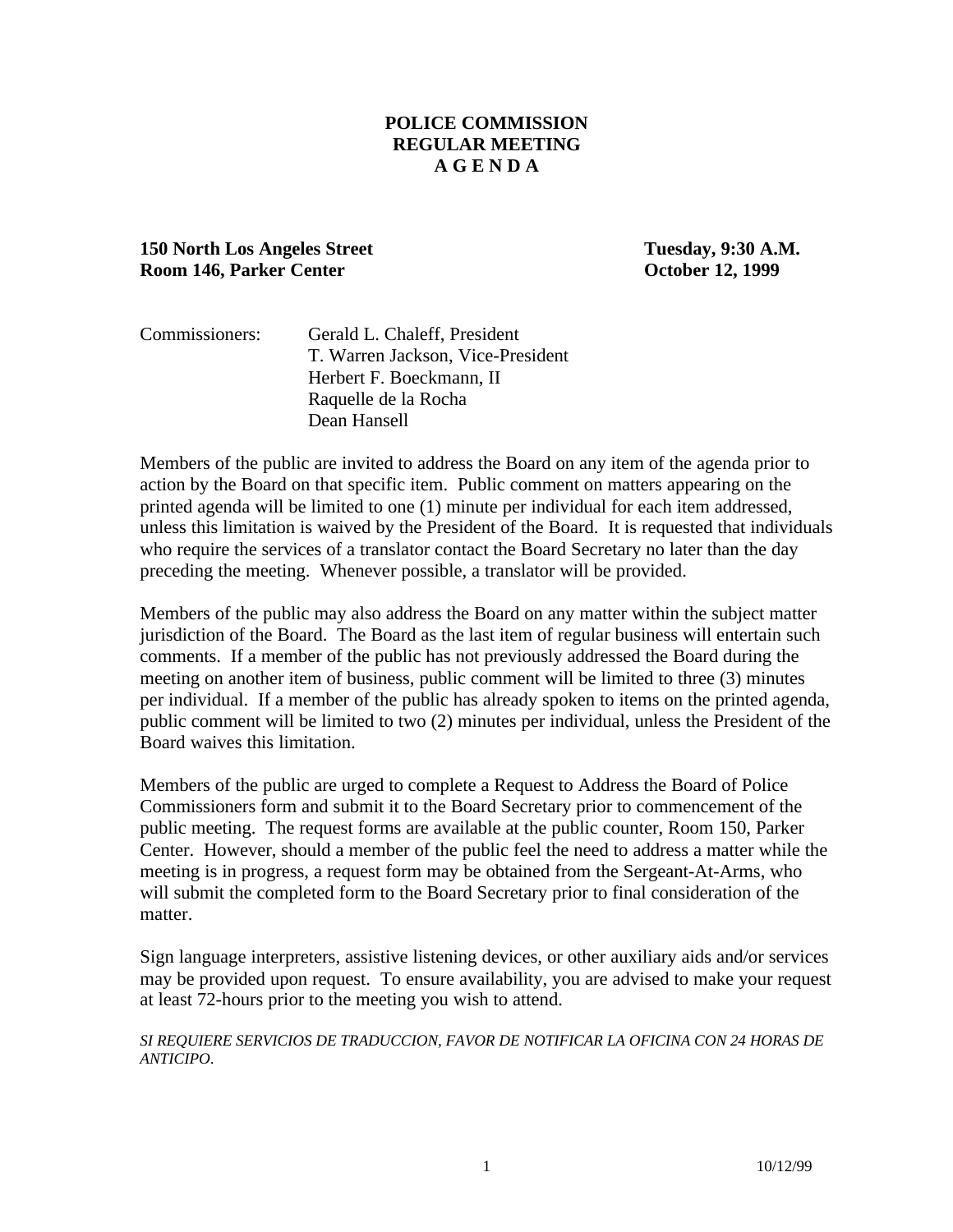#### **POLICE COMMISSION REGULAR MEETING A G E N D A**

#### **150 North Los Angeles Street Tuesday, 9:30 A.M. Room 146, Parker Center October 12, 1999**

| Commissioners: | Gerald L. Chaleff, President      |
|----------------|-----------------------------------|
|                | T. Warren Jackson, Vice-President |
|                | Herbert F. Boeckmann, II          |
|                | Raquelle de la Rocha              |
|                | Dean Hansell                      |

Members of the public are invited to address the Board on any item of the agenda prior to action by the Board on that specific item. Public comment on matters appearing on the printed agenda will be limited to one (1) minute per individual for each item addressed, unless this limitation is waived by the President of the Board. It is requested that individuals who require the services of a translator contact the Board Secretary no later than the day preceding the meeting. Whenever possible, a translator will be provided.

Members of the public may also address the Board on any matter within the subject matter jurisdiction of the Board. The Board as the last item of regular business will entertain such comments. If a member of the public has not previously addressed the Board during the meeting on another item of business, public comment will be limited to three (3) minutes per individual. If a member of the public has already spoken to items on the printed agenda, public comment will be limited to two (2) minutes per individual, unless the President of the Board waives this limitation.

Members of the public are urged to complete a Request to Address the Board of Police Commissioners form and submit it to the Board Secretary prior to commencement of the public meeting. The request forms are available at the public counter, Room 150, Parker Center. However, should a member of the public feel the need to address a matter while the meeting is in progress, a request form may be obtained from the Sergeant-At-Arms, who will submit the completed form to the Board Secretary prior to final consideration of the matter.

Sign language interpreters, assistive listening devices, or other auxiliary aids and/or services may be provided upon request. To ensure availability, you are advised to make your request at least 72-hours prior to the meeting you wish to attend.

*SI REQUIERE SERVICIOS DE TRADUCCION, FAVOR DE NOTIFICAR LA OFICINA CON 24 HORAS DE ANTICIPO*.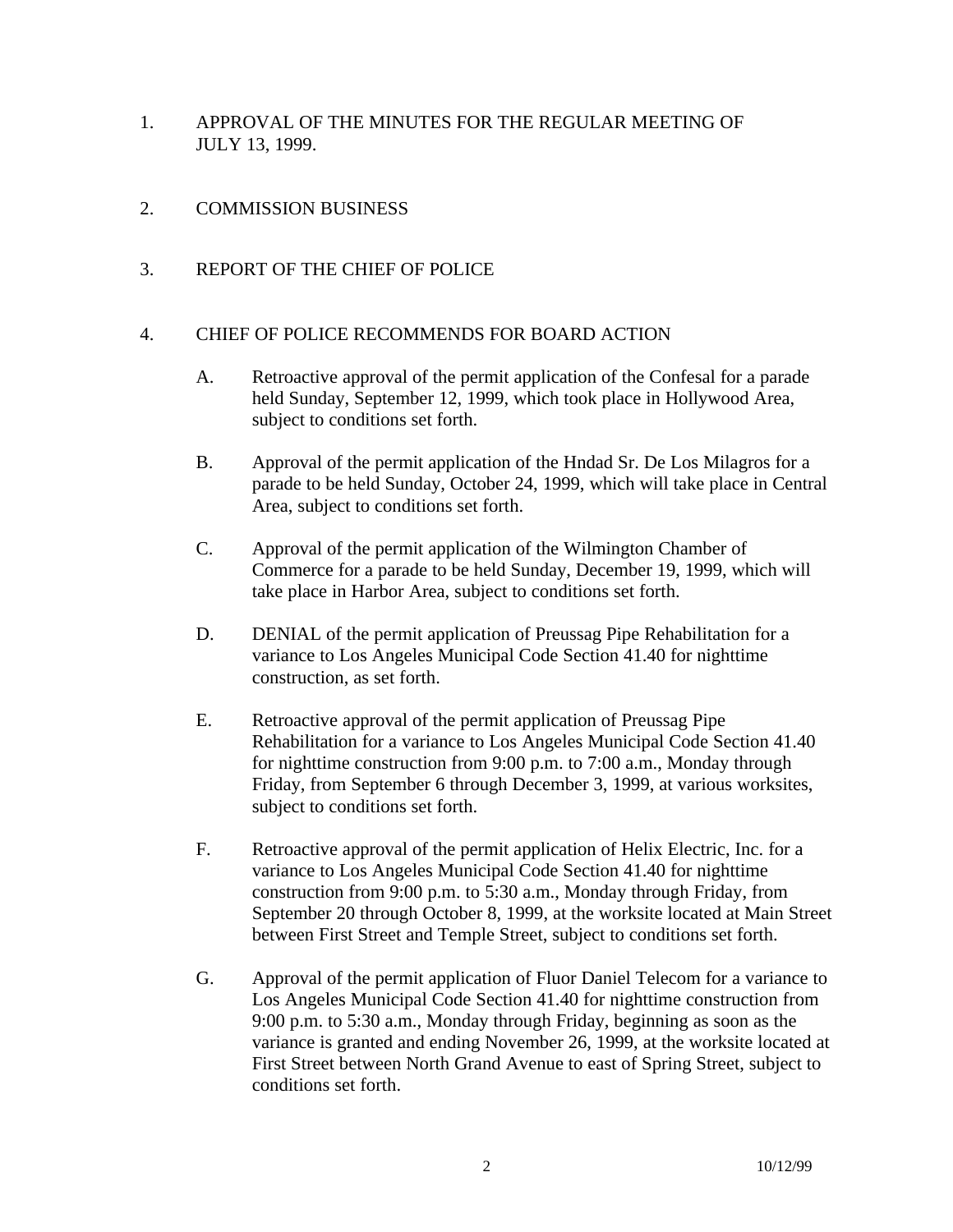- 1. APPROVAL OF THE MINUTES FOR THE REGULAR MEETING OF JULY 13, 1999.
- 2. COMMISSION BUSINESS
- 3. REPORT OF THE CHIEF OF POLICE

### 4. CHIEF OF POLICE RECOMMENDS FOR BOARD ACTION

- A. Retroactive approval of the permit application of the Confesal for a parade held Sunday, September 12, 1999, which took place in Hollywood Area, subject to conditions set forth.
- B. Approval of the permit application of the Hndad Sr. De Los Milagros for a parade to be held Sunday, October 24, 1999, which will take place in Central Area, subject to conditions set forth.
- C. Approval of the permit application of the Wilmington Chamber of Commerce for a parade to be held Sunday, December 19, 1999, which will take place in Harbor Area, subject to conditions set forth.
- D. DENIAL of the permit application of Preussag Pipe Rehabilitation for a variance to Los Angeles Municipal Code Section 41.40 for nighttime construction, as set forth.
- E. Retroactive approval of the permit application of Preussag Pipe Rehabilitation for a variance to Los Angeles Municipal Code Section 41.40 for nighttime construction from 9:00 p.m. to 7:00 a.m., Monday through Friday, from September 6 through December 3, 1999, at various worksites, subject to conditions set forth.
- F. Retroactive approval of the permit application of Helix Electric, Inc. for a variance to Los Angeles Municipal Code Section 41.40 for nighttime construction from 9:00 p.m. to 5:30 a.m., Monday through Friday, from September 20 through October 8, 1999, at the worksite located at Main Street between First Street and Temple Street, subject to conditions set forth.
- G. Approval of the permit application of Fluor Daniel Telecom for a variance to Los Angeles Municipal Code Section 41.40 for nighttime construction from 9:00 p.m. to 5:30 a.m., Monday through Friday, beginning as soon as the variance is granted and ending November 26, 1999, at the worksite located at First Street between North Grand Avenue to east of Spring Street, subject to conditions set forth.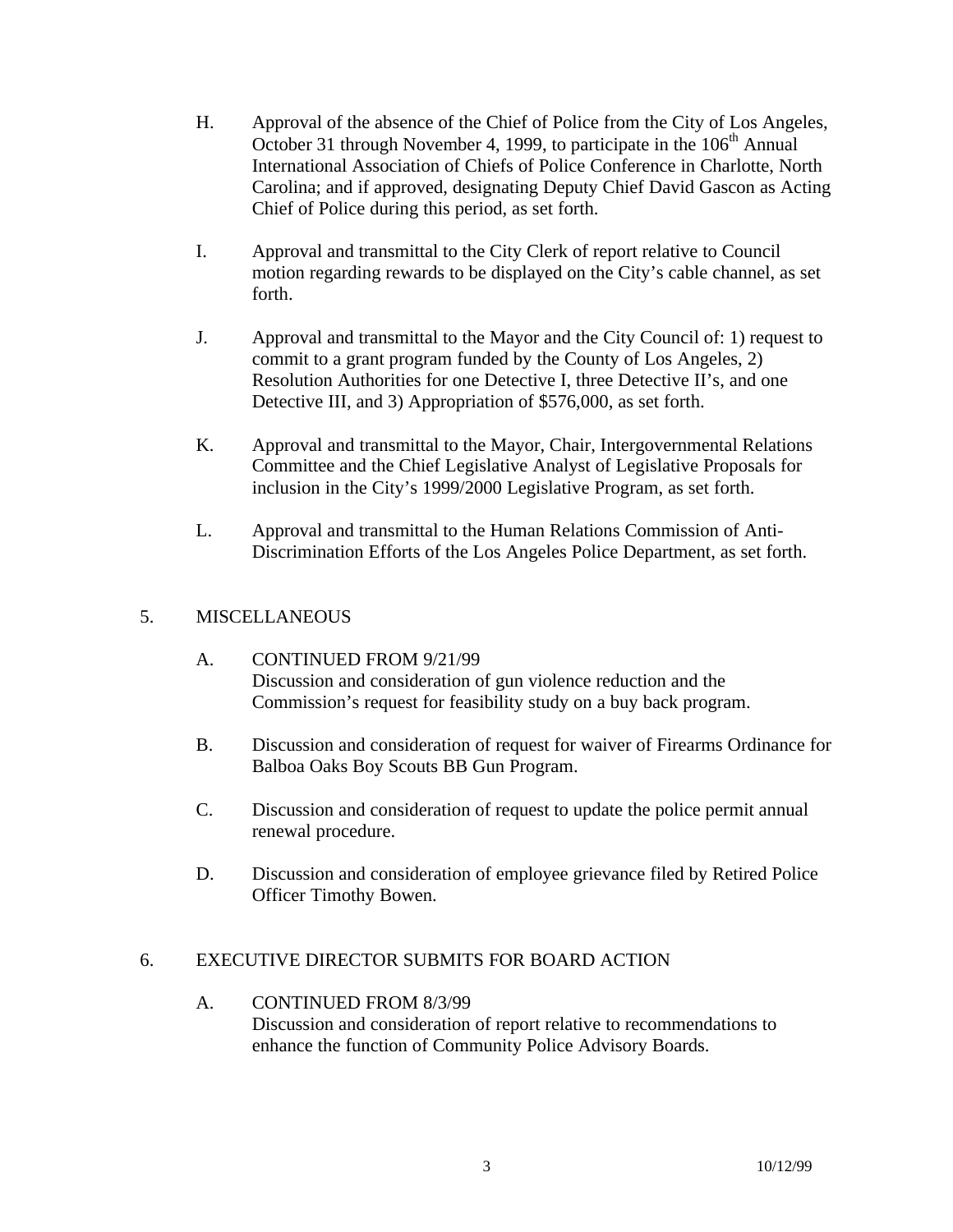- H. Approval of the absence of the Chief of Police from the City of Los Angeles, October 31 through November 4, 1999, to participate in the  $106<sup>th</sup>$  Annual International Association of Chiefs of Police Conference in Charlotte, North Carolina; and if approved, designating Deputy Chief David Gascon as Acting Chief of Police during this period, as set forth.
- I. Approval and transmittal to the City Clerk of report relative to Council motion regarding rewards to be displayed on the City's cable channel, as set forth.
- J. Approval and transmittal to the Mayor and the City Council of: 1) request to commit to a grant program funded by the County of Los Angeles, 2) Resolution Authorities for one Detective I, three Detective II's, and one Detective III, and 3) Appropriation of \$576,000, as set forth.
- K. Approval and transmittal to the Mayor, Chair, Intergovernmental Relations Committee and the Chief Legislative Analyst of Legislative Proposals for inclusion in the City's 1999/2000 Legislative Program, as set forth.
- L. Approval and transmittal to the Human Relations Commission of Anti-Discrimination Efforts of the Los Angeles Police Department, as set forth.

### 5. MISCELLANEOUS

- A. CONTINUED FROM 9/21/99 Discussion and consideration of gun violence reduction and the Commission's request for feasibility study on a buy back program.
- B. Discussion and consideration of request for waiver of Firearms Ordinance for Balboa Oaks Boy Scouts BB Gun Program.
- C. Discussion and consideration of request to update the police permit annual renewal procedure.
- D. Discussion and consideration of employee grievance filed by Retired Police Officer Timothy Bowen.

### 6. EXECUTIVE DIRECTOR SUBMITS FOR BOARD ACTION

A. CONTINUED FROM 8/3/99 Discussion and consideration of report relative to recommendations to enhance the function of Community Police Advisory Boards.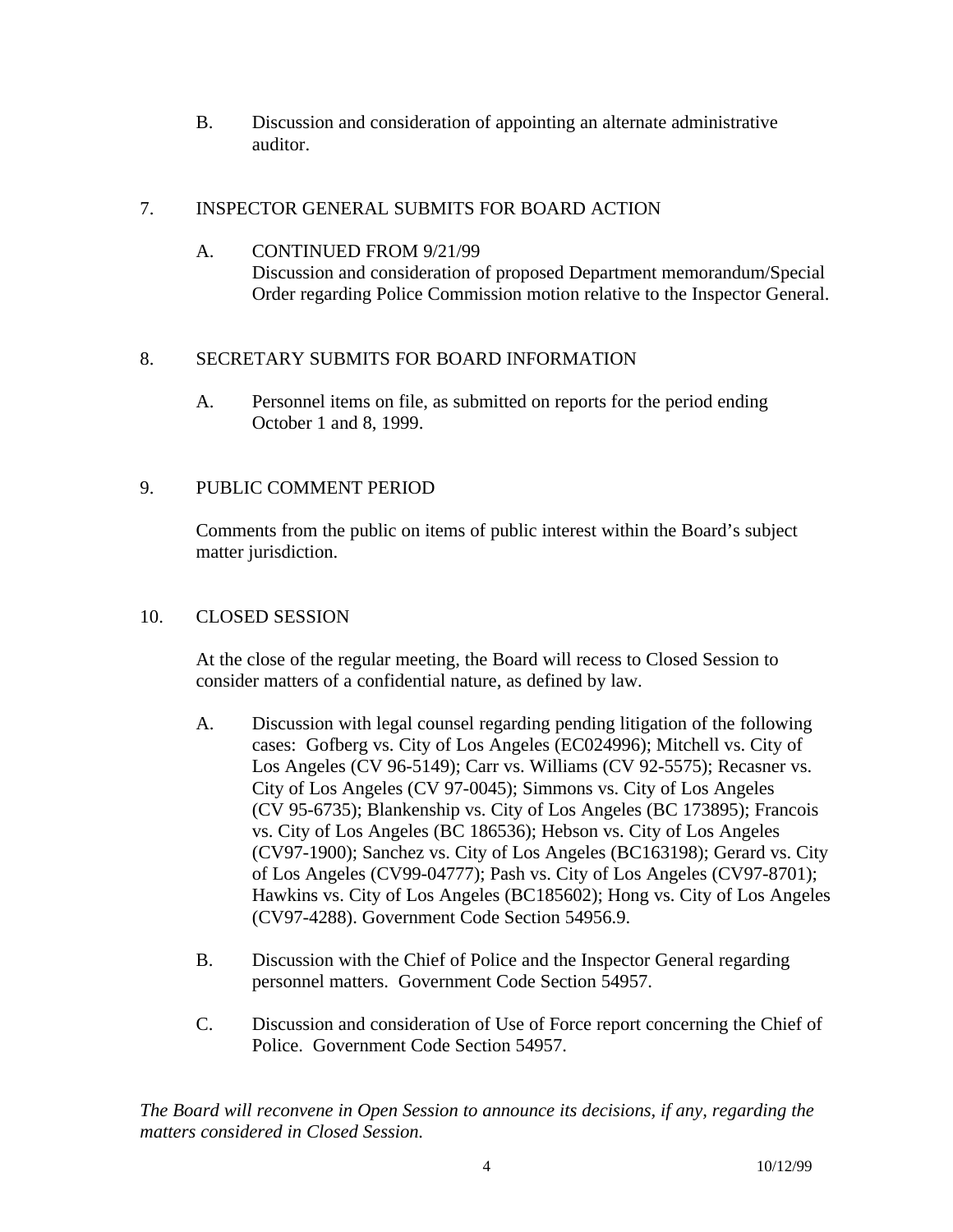B. Discussion and consideration of appointing an alternate administrative auditor.

# 7. INSPECTOR GENERAL SUBMITS FOR BOARD ACTION

A. CONTINUED FROM 9/21/99 Discussion and consideration of proposed Department memorandum/Special Order regarding Police Commission motion relative to the Inspector General.

# 8. SECRETARY SUBMITS FOR BOARD INFORMATION

A. Personnel items on file, as submitted on reports for the period ending October 1 and 8, 1999.

# 9. PUBLIC COMMENT PERIOD

Comments from the public on items of public interest within the Board's subject matter jurisdiction.

### 10. CLOSED SESSION

At the close of the regular meeting, the Board will recess to Closed Session to consider matters of a confidential nature, as defined by law.

- A. Discussion with legal counsel regarding pending litigation of the following cases: Gofberg vs. City of Los Angeles (EC024996); Mitchell vs. City of Los Angeles (CV 96-5149); Carr vs. Williams (CV 92-5575); Recasner vs. City of Los Angeles (CV 97-0045); Simmons vs. City of Los Angeles (CV 95-6735); Blankenship vs. City of Los Angeles (BC 173895); Francois vs. City of Los Angeles (BC 186536); Hebson vs. City of Los Angeles (CV97-1900); Sanchez vs. City of Los Angeles (BC163198); Gerard vs. City of Los Angeles (CV99-04777); Pash vs. City of Los Angeles (CV97-8701); Hawkins vs. City of Los Angeles (BC185602); Hong vs. City of Los Angeles (CV97-4288). Government Code Section 54956.9.
- B. Discussion with the Chief of Police and the Inspector General regarding personnel matters. Government Code Section 54957.
- C. Discussion and consideration of Use of Force report concerning the Chief of Police. Government Code Section 54957.

*The Board will reconvene in Open Session to announce its decisions, if any, regarding the matters considered in Closed Session.*